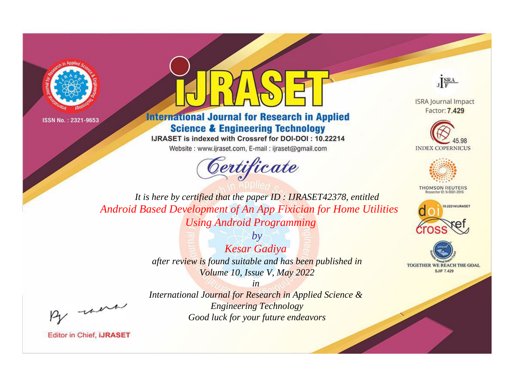



**International Journal for Research in Applied Science & Engineering Technology** 

IJRASET is indexed with Crossref for DOI-DOI: 10.22214

Website: www.ijraset.com, E-mail: ijraset@gmail.com





**ISRA Journal Impact** Factor: 7.429





**THOMSON REUTERS** 



TOGETHER WE REACH THE GOAL **SJIF 7.429** 

*It is here by certified that the paper ID : IJRASET42378, entitled Android Based Development of An App Fixician for Home Utilities Using Android Programming*

> *by Kesar Gadiya after review is found suitable and has been published in Volume 10, Issue V, May 2022*

> > *in*

, un

*International Journal for Research in Applied Science & Engineering Technology Good luck for your future endeavors*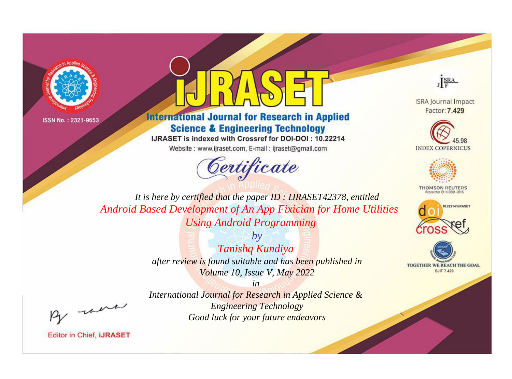



**International Journal for Research in Applied Science & Engineering Technology** 

IJRASET is indexed with Crossref for DOI-DOI: 10.22214

Website: www.ijraset.com, E-mail: ijraset@gmail.com





**ISRA Journal Impact** Factor: 7.429





**THOMSON REUTERS** 



TOGETHER WE REACH THE GOAL **SJIF 7.429** 

*It is here by certified that the paper ID : IJRASET42378, entitled Android Based Development of An App Fixician for Home Utilities Using Android Programming*

> *by Tanishq Kundiya after review is found suitable and has been published in Volume 10, Issue V, May 2022*

> > *in*

*International Journal for Research in Applied Science & Engineering Technology Good luck for your future endeavors*

, un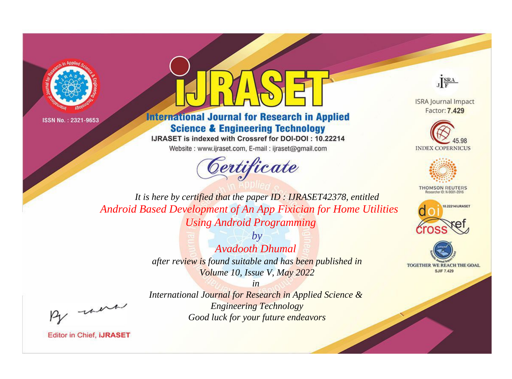



**International Journal for Research in Applied Science & Engineering Technology** 

IJRASET is indexed with Crossref for DOI-DOI: 10.22214

Website: www.ijraset.com, E-mail: ijraset@gmail.com





**ISRA Journal Impact** Factor: 7.429





**THOMSON REUTERS** 



TOGETHER WE REACH THE GOAL **SJIF 7.429** 

*It is here by certified that the paper ID : IJRASET42378, entitled Android Based Development of An App Fixician for Home Utilities Using Android Programming*

> *by Avadooth Dhumal after review is found suitable and has been published in Volume 10, Issue V, May 2022*

, un

*International Journal for Research in Applied Science & Engineering Technology Good luck for your future endeavors*

*in*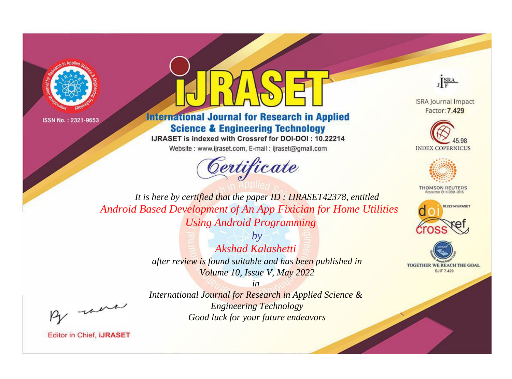



**International Journal for Research in Applied Science & Engineering Technology** 

IJRASET is indexed with Crossref for DOI-DOI: 10.22214

Website: www.ijraset.com, E-mail: ijraset@gmail.com





**ISRA Journal Impact** Factor: 7.429





**THOMSON REUTERS** 



TOGETHER WE REACH THE GOAL **SJIF 7.429** 

*It is here by certified that the paper ID : IJRASET42378, entitled Android Based Development of An App Fixician for Home Utilities Using Android Programming*

> *by Akshad Kalashetti after review is found suitable and has been published in Volume 10, Issue V, May 2022*

, un

*International Journal for Research in Applied Science & Engineering Technology Good luck for your future endeavors*

*in*